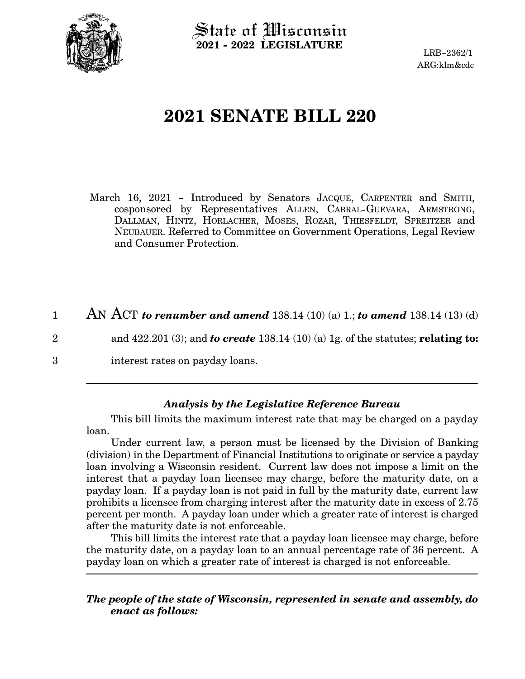

State of Wisconsin **2021 - 2022 LEGISLATURE**

LRB-2362/1 ARG:klm&cdc

## **2021 SENATE BILL 220**

March 16, 2021 - Introduced by Senators JACQUE, CARPENTER and SMITH, cosponsored by Representatives ALLEN, CABRAL-GUEVARA, ARMSTRONG, DALLMAN, HINTZ, HORLACHER, MOSES, ROZAR, THIESFELDT, SPREITZER and NEUBAUER. Referred to Committee on Government Operations, Legal Review and Consumer Protection.

AN ACT *to renumber and amend* 138.14 (10) (a) 1.; *to amend* 138.14 (13) (d) 1

2

3

interest rates on payday loans.

## *Analysis by the Legislative Reference Bureau*

and 422.201 (3); and *to create* 138.14 (10) (a) 1g. of the statutes; **relating to:**

This bill limits the maximum interest rate that may be charged on a payday loan.

Under current law, a person must be licensed by the Division of Banking (division) in the Department of Financial Institutions to originate or service a payday loan involving a Wisconsin resident. Current law does not impose a limit on the interest that a payday loan licensee may charge, before the maturity date, on a payday loan. If a payday loan is not paid in full by the maturity date, current law prohibits a licensee from charging interest after the maturity date in excess of 2.75 percent per month. A payday loan under which a greater rate of interest is charged after the maturity date is not enforceable.

This bill limits the interest rate that a payday loan licensee may charge, before the maturity date, on a payday loan to an annual percentage rate of 36 percent. A payday loan on which a greater rate of interest is charged is not enforceable.

## *The people of the state of Wisconsin, represented in senate and assembly, do enact as follows:*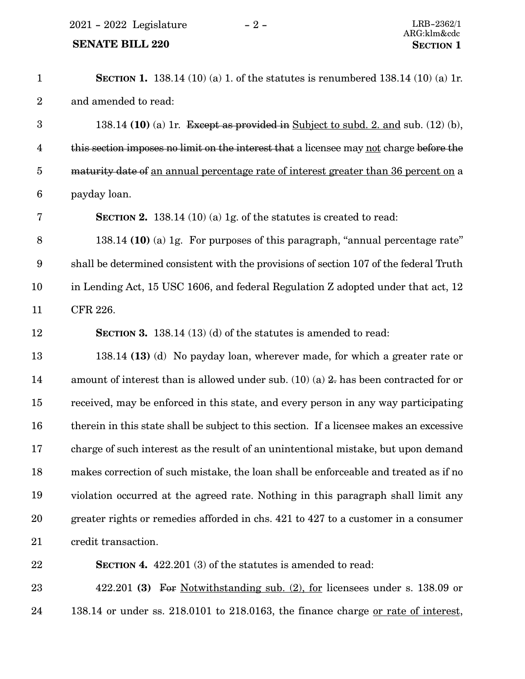2021 - 2022 Legislature - 2 - LRB-2362/1

## **SENATE BILL 220 SECTION** 1

| $\mathbf{1}$            | <b>SECTION 1.</b> 138.14 (10) (a) 1. of the statutes is renumbered 138.14 (10) (a) 1r.         |
|-------------------------|------------------------------------------------------------------------------------------------|
| $\boldsymbol{2}$        | and amended to read:                                                                           |
| $\boldsymbol{3}$        | 138.14 (10) (a) 1r. Except as provided in Subject to subd. 2. and sub. $(12)$ (b),             |
| $\overline{\mathbf{4}}$ | this section imposes no limit on the interest that a licensee may not charge before the        |
| $\overline{5}$          | maturity date of an annual percentage rate of interest greater than 36 percent on a            |
| 6                       | payday loan.                                                                                   |
| 7                       | <b>SECTION 2.</b> 138.14 (10) (a) 1g. of the statures is created to read:                      |
| 8                       | 138.14 (10) (a) 1g. For purposes of this paragraph, "annual percentage rate"                   |
| $9\phantom{.0}$         | shall be determined consistent with the provisions of section 107 of the federal Truth         |
| 10                      | in Lending Act, 15 USC 1606, and federal Regulation Z adopted under that act, 12               |
| 11                      | CFR 226.                                                                                       |
| 12                      | <b>SECTION 3.</b> 138.14 (13) (d) of the statutes is amended to read:                          |
| 13                      | 138.14 (13) (d) No payday loan, wherever made, for which a greater rate or                     |
| 14                      | amount of interest than is allowed under sub. $(10)(a)$ 2. has been contracted for or          |
| 15                      | received, may be enforced in this state, and every person in any way participating             |
| 16                      | therein in this state shall be subject to this section. If a licensee makes an excessive       |
| 17                      | charge of such interest as the result of an unintentional mistake, but upon demand             |
| 18                      | makes correction of such mistake, the loan shall be enforceable and treated as if no           |
| 19                      | violation occurred at the agreed rate. Nothing in this paragraph shall limit any               |
| 20                      | greater rights or remedies afforded in chs. 421 to 427 to a customer in a consumer             |
| 21                      | credit transaction.                                                                            |
| 22                      | <b>SECTION 4.</b> 422.201 (3) of the statutes is amended to read:                              |
| 23                      | 422.201 (3) For Notwithstanding sub. (2), for licensees under s. 138.09 or                     |
| 24                      | 138.14 or under ss. $218.0101$ to $218.0163$ , the finance charge <u>or rate of interest</u> , |